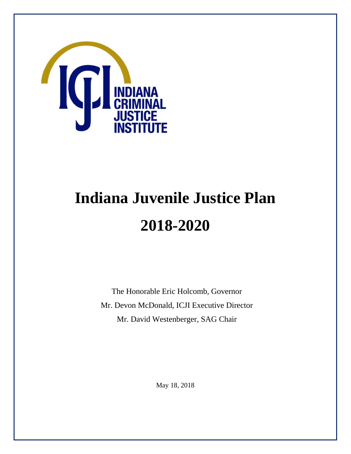

# **Indiana Juvenile Justice Plan 2018-2020**

The Honorable Eric Holcomb, Governor Mr. Devon McDonald, ICJI Executive Director Mr. David Westenberger, SAG Chair

May 18, 2018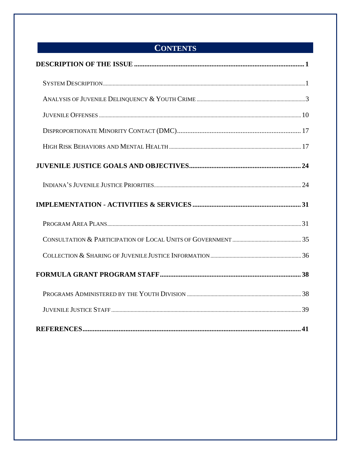# **CONTENTS**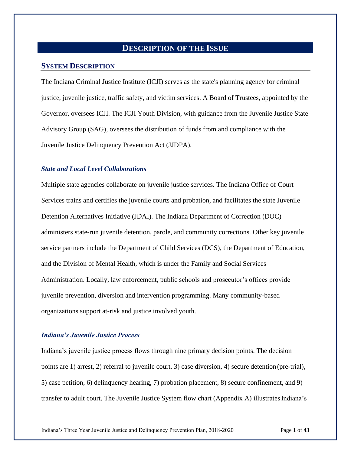## **DESCRIPTION OF THE ISSUE**

## <span id="page-2-0"></span>**SYSTEM DESCRIPTION**

The Indiana Criminal Justice Institute (ICJI) serves as the state's planning agency for criminal justice, juvenile justice, traffic safety, and victim services. A Board of Trustees, appointed by the Governor, oversees ICJI. The ICJI Youth Division, with guidance from the Juvenile Justice State Advisory Group (SAG), oversees the distribution of funds from and compliance with the Juvenile Justice Delinquency Prevention Act (JJDPA).

## *State and Local Level Collaborations*

Multiple state agencies collaborate on juvenile justice services. The Indiana Office of Court Services trains and certifies the juvenile courts and probation, and facilitates the state Juvenile Detention Alternatives Initiative (JDAI). The Indiana Department of Correction (DOC) administers state-run juvenile detention, parole, and community corrections. Other key juvenile service partners include the Department of Child Services (DCS), the Department of Education, and the Division of Mental Health, which is under the Family and Social Services Administration. Locally, law enforcement, public schools and prosecutor's offices provide juvenile prevention, diversion and intervention programming. Many community-based organizations support at-risk and justice involved youth.

## *Indiana's Juvenile Justice Process*

Indiana's juvenile justice process flows through nine primary decision points. The decision points are 1) arrest, 2) referral to juvenile court, 3) case diversion, 4) secure detention (pre-trial), 5) case petition, 6) delinquency hearing, 7) probation placement, 8) secure confinement, and 9) transfer to adult court. The Juvenile Justice System flow chart (Appendix A) illustrates Indiana's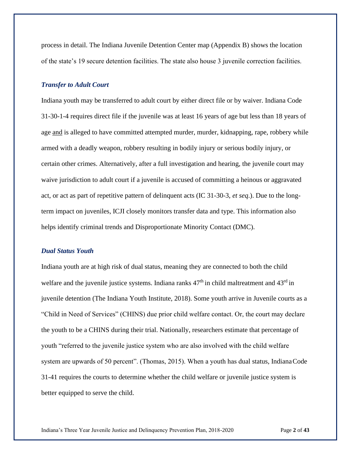process in detail. The Indiana Juvenile Detention Center map (Appendix B) shows the location of the state's 19 secure detention facilities. The state also house 3 juvenile correction facilities.

#### *Transfer to Adult Court*

Indiana youth may be transferred to adult court by either direct file or by waiver. Indiana Code 31-30-1-4 requires direct file if the juvenile was at least 16 years of age but less than 18 years of age and is alleged to have committed attempted murder, murder, kidnapping, rape, robbery while armed with a deadly weapon, robbery resulting in bodily injury or serious bodily injury, or certain other crimes. Alternatively, after a full investigation and hearing, the juvenile court may waive jurisdiction to adult court if a juvenile is accused of committing a heinous or aggravated act, or act as part of repetitive pattern of delinquent acts (IC 31-30-3, *et seq*.). Due to the longterm impact on juveniles, ICJI closely monitors transfer data and type. This information also helps identify criminal trends and Disproportionate Minority Contact (DMC).

#### *Dual Status Youth*

Indiana youth are at high risk of dual status, meaning they are connected to both the child welfare and the juvenile justice systems. Indiana ranks  $47<sup>th</sup>$  in child maltreatment and  $43<sup>rd</sup>$  in juvenile detention (The Indiana Youth Institute, 2018). Some youth arrive in Juvenile courts as a "Child in Need of Services" (CHINS) due prior child welfare contact. Or, the court may declare the youth to be a CHINS during their trial. Nationally, researchers estimate that percentage of youth "referred to the juvenile justice system who are also involved with the child welfare system are upwards of 50 percent". (Thomas, 2015). When a youth has dual status, Indiana Code 31-41 requires the courts to determine whether the child welfare or juvenile justice system is better equipped to serve the child.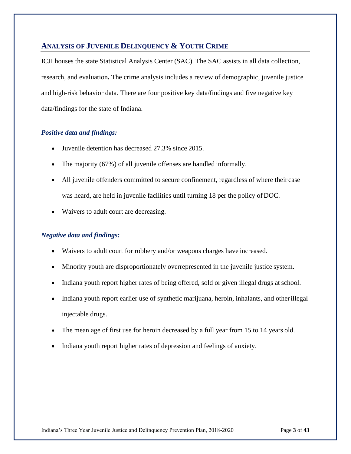## **ANALYSIS OF JUVENILE DELINQUENCY & YOUTH CRIME**

ICJI houses the state Statistical Analysis Center (SAC). The SAC assists in all data collection, research, and evaluation**.** The crime analysis includes a review of demographic, juvenile justice and high-risk behavior data. There are four positive key data/findings and five negative key data/findings for the state of Indiana.

## *Positive data and findings:*

- Juvenile detention has decreased 27.3% since 2015.
- The majority (67%) of all juvenile offenses are handled informally.
- All juvenile offenders committed to secure confinement, regardless of where their case was heard, are held in juvenile facilities until turning 18 per the policy of DOC.
- Waivers to adult court are decreasing.

## *Negative data and findings:*

- Waivers to adult court for robbery and/or weapons charges have increased.
- Minority youth are disproportionately overrepresented in the juvenile justice system.
- Indiana youth report higher rates of being offered, sold or given illegal drugs at school.
- Indiana youth report earlier use of synthetic marijuana, heroin, inhalants, and otherillegal injectable drugs.
- The mean age of first use for heroin decreased by a full year from 15 to 14 years old.
- Indiana youth report higher rates of depression and feelings of anxiety.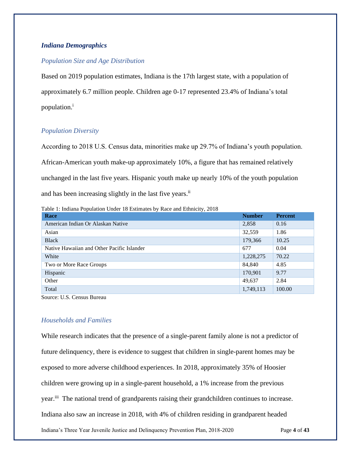## *Indiana Demographics*

## *Population Size and Age Distribution*

Based on 2019 population estimates, Indiana is the 17th largest state, with a population of approximately 6.7 million people. Children age 0-17 represented 23.4% of Indiana's total population.<sup>i</sup>

## *Population Diversity*

According to 2018 U.S. Census data, minorities make up 29.7% of Indiana's youth population. African-American youth make-up approximately 10%, a figure that has remained relatively unchanged in the last five years. Hispanic youth make up nearly 10% of the youth population and has been increasing slightly in the last five years.<sup>ii</sup>

Table 1: Indiana Population Under 18 Estimates by Race and Ethnicity, 2018

| Race                                       | <b>Number</b> | <b>Percent</b> |
|--------------------------------------------|---------------|----------------|
| American Indian Or Alaskan Native          | 2,858         | 0.16           |
| Asian                                      | 32,559        | 1.86           |
| <b>Black</b>                               | 179,366       | 10.25          |
| Native Hawaiian and Other Pacific Islander | 677           | 0.04           |
| White                                      | 1,228,275     | 70.22          |
| Two or More Race Groups                    | 84,840        | 4.85           |
| Hispanic                                   | 170,901       | 9.77           |
| Other                                      | 49,637        | 2.84           |
| Total                                      | 1,749,113     | 100.00         |
|                                            |               |                |

Source: U.S. Census Bureau

## *Households and Families*

Indiana's Three Year Juvenile Justice and Delinquency Prevention Plan, 2018-2020 Page **4** of **43** While research indicates that the presence of a single-parent family alone is not a predictor of future delinquency, there is evidence to suggest that children in single-parent homes may be exposed to more adverse childhood experiences. In 2018, approximately 35% of Hoosier children were growing up in a single-parent household, a 1% increase from the previous year.<sup>iii</sup> The national trend of grandparents raising their grandchildren continues to increase. Indiana also saw an increase in 2018, with 4% of children residing in grandparent headed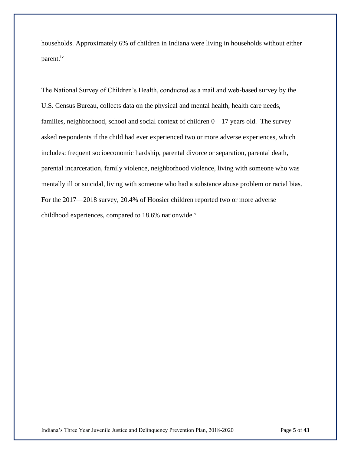households. Approximately 6% of children in Indiana were living in households without either parent.<sup>iv</sup>

The National Survey of Children's Health, conducted as a mail and web-based survey by the U.S. Census Bureau, collects data on the physical and mental health, health care needs, families, neighborhood, school and social context of children  $0 - 17$  years old. The survey asked respondents if the child had ever experienced two or more adverse experiences, which includes: frequent socioeconomic hardship, parental divorce or separation, parental death, parental incarceration, family violence, neighborhood violence, living with someone who was mentally ill or suicidal, living with someone who had a substance abuse problem or racial bias. For the 2017—2018 survey, 20.4% of Hoosier children reported two or more adverse childhood experiences, compared to  $18.6\%$  nationwide.<sup>v</sup>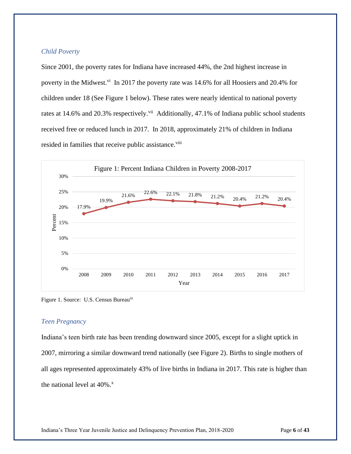## *Child Poverty*

Since 2001, the poverty rates for Indiana have increased 44%, the 2nd highest increase in poverty in the Midwest.<sup>vi</sup> In 2017 the poverty rate was 14.6% for all Hoosiers and 20.4% for children under 18 (See Figure 1 below). These rates were nearly identical to national poverty rates at 14.6% and 20.3% respectively.<sup>vii</sup> Additionally, 47.1% of Indiana public school students received free or reduced lunch in 2017. In 2018, approximately 21% of children in Indiana resided in families that receive public assistance.<sup>viii</sup>



Figure 1. Source: U.S. Census Bureauix

## *Teen Pregnancy*

Indiana's teen birth rate has been trending downward since 2005, except for a slight uptick in 2007, mirroring a similar downward trend nationally (see Figure 2). Births to single mothers of all ages represented approximately 43% of live births in Indiana in 2017. This rate is higher than the national level at  $40\%$ .<sup>x</sup>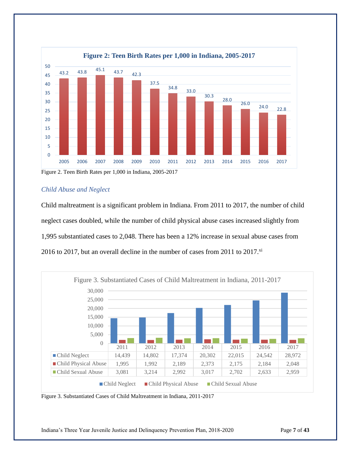

Figure 2. Teen Birth Rates per 1,000 in Indiana, 2005-2017

## *Child Abuse and Neglect*

Child maltreatment is a significant problem in Indiana. From 2011 to 2017, the number of child neglect cases doubled, while the number of child physical abuse cases increased slightly from 1,995 substantiated cases to 2,048. There has been a 12% increase in sexual abuse cases from 2016 to 2017, but an overall decline in the number of cases from 2011 to 2017. $^{\text{xi}}$ 



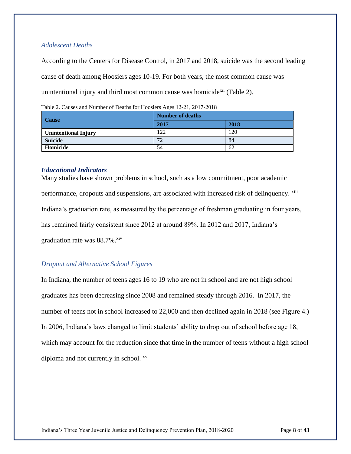## *Adolescent Deaths*

According to the Centers for Disease Control, in 2017 and 2018, suicide was the second leading cause of death among Hoosiers ages 10-19. For both years, the most common cause was unintentional injury and third most common cause was homicide<sup>xii</sup> (Table 2).

**Cause Number of deaths 2017 2018 Unintentional Injury** 122 120 **Suicide** 84 **Homicide** 54 62

Table 2. Causes and Number of Deaths for Hoosiers Ages 12-21, 2017-2018

#### *Educational Indicators*

Many studies have shown problems in school, such as a low commitment, poor academic performance, dropouts and suspensions, are associated with increased risk of delinquency. xiii Indiana's graduation rate, as measured by the percentage of freshman graduating in four years, has remained fairly consistent since 2012 at around 89%. In 2012 and 2017, Indiana's graduation rate was  $88.7\%$ . xiv

## *Dropout and Alternative School Figures*

In Indiana, the number of teens ages 16 to 19 who are not in school and are not high school graduates has been decreasing since 2008 and remained steady through 2016. In 2017, the number of teens not in school increased to 22,000 and then declined again in 2018 (see Figure 4.) In 2006, Indiana's laws changed to limit students' ability to drop out of school before age 18, which may account for the reduction since that time in the number of teens without a high school diploma and not currently in school. <sup>xv</sup>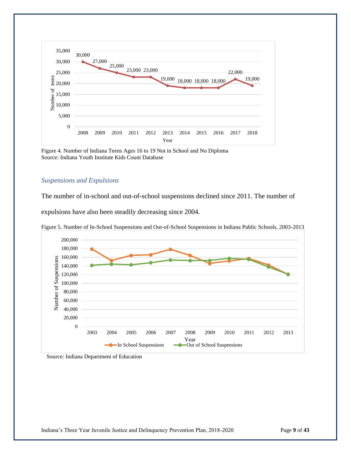

Figure 4. Number of Indiana Teens Ages 16 to 19 Not in School and No Diploma Source: Indiana Youth Institute Kids Count Database

#### *Suspensions and Expulsions*

The number of in-school and out-of-school suspensions declined since 2011. The number of

expulsions have also been steadily decreasing since 2004.



Figure 5. Number of In-School Suspensions and Out-of-School Suspensions in Indiana Public Schools, 2003-2013

Source: Indiana Department of Education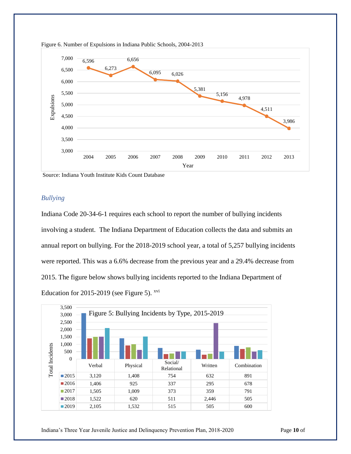



Source: Indiana Youth Institute Kids Count Database

## *Bullying*

Indiana Code 20-34-6-1 requires each school to report the number of bullying incidents involving a student. The Indiana Department of Education collects the data and submits an annual report on bullying. For the 2018-2019 school year, a total of 5,257 bullying incidents were reported. This was a 6.6% decrease from the previous year and a 29.4% decrease from 2015. The figure below shows bullying incidents reported to the Indiana Department of Education for 2015-2019 (see Figure 5).  $xvi$ 



**43**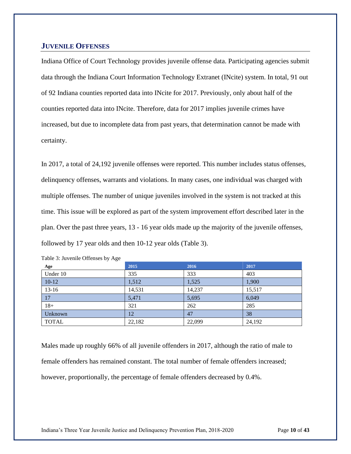## **JUVENILE OFFENSES**

Indiana Office of Court Technology provides juvenile offense data. Participating agencies submit data through the Indiana Court Information Technology Extranet (INcite) system. In total, 91 out of 92 Indiana counties reported data into INcite for 2017. Previously, only about half of the counties reported data into INcite. Therefore, data for 2017 implies juvenile crimes have increased, but due to incomplete data from past years, that determination cannot be made with certainty.

In 2017, a total of 24,192 juvenile offenses were reported. This number includes status offenses, delinquency offenses, warrants and violations. In many cases, one individual was charged with multiple offenses. The number of unique juveniles involved in the system is not tracked at this time. This issue will be explored as part of the system improvement effort described later in the plan. Over the past three years, 13 - 16 year olds made up the majority of the juvenile offenses, followed by 17 year olds and then 10-12 year olds (Table 3).

| Age          | 2015   | 2016   | 2017   |
|--------------|--------|--------|--------|
| Under 10     | 335    | 333    | 403    |
| $10-12$      | 1,512  | 1,525  | 1,900  |
| $13-16$      | 14,531 | 14,237 | 15,517 |
| 17           | 5,471  | 5,695  | 6,049  |
| $18+$        | 321    | 262    | 285    |
| Unknown      | 12     | 47     | 38     |
| <b>TOTAL</b> | 22,182 | 22,099 | 24,192 |

| Table 3: Juvenile Offenses by Age |  |  |
|-----------------------------------|--|--|
|-----------------------------------|--|--|

Males made up roughly 66% of all juvenile offenders in 2017, although the ratio of male to female offenders has remained constant. The total number of female offenders increased; however, proportionally, the percentage of female offenders decreased by 0.4%.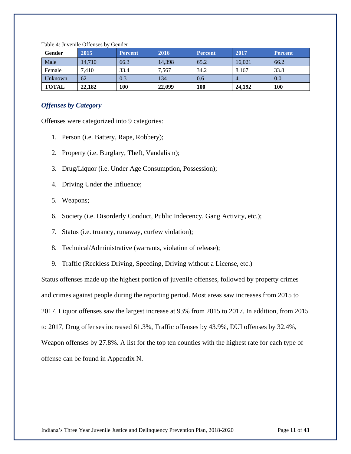| Gender       | 2015   | <b>Percent</b> | 2016   | <b>Percent</b> | 2017   | Percent    |
|--------------|--------|----------------|--------|----------------|--------|------------|
| Male         | 14.710 | 66.3           | 14.398 | 65.2           | 16,021 | 66.2       |
| Female       | 7,410  | 33.4           | 7,567  | 34.2           | 8,167  | 33.8       |
| Unknown      | 62     | 0.3            | 134    | 0.6            |        | 0.0        |
| <b>TOTAL</b> | 22,182 | 100            | 22,099 | 100            | 24,192 | <b>100</b> |

Table 4: Juvenile Offenses by Gender

## *Offenses by Category*

Offenses were categorized into 9 categories:

- 1. Person (i.e. Battery, Rape, Robbery);
- 2. Property (i.e. Burglary, Theft, Vandalism);
- 3. Drug/Liquor (i.e. Under Age Consumption, Possession);
- 4. Driving Under the Influence;
- 5. Weapons;
- 6. Society (i.e. Disorderly Conduct, Public Indecency, Gang Activity, etc.);
- 7. Status (i.e. truancy, runaway, curfew violation);
- 8. Technical/Administrative (warrants, violation of release);
- 9. Traffic (Reckless Driving, Speeding, Driving without a License, etc.)

Status offenses made up the highest portion of juvenile offenses, followed by property crimes and crimes against people during the reporting period. Most areas saw increases from 2015 to 2017. Liquor offenses saw the largest increase at 93% from 2015 to 2017. In addition, from 2015 to 2017, Drug offenses increased 61.3%, Traffic offenses by 43.9%, DUI offenses by 32.4%, Weapon offenses by 27.8%. A list for the top ten counties with the highest rate for each type of offense can be found in Appendix N.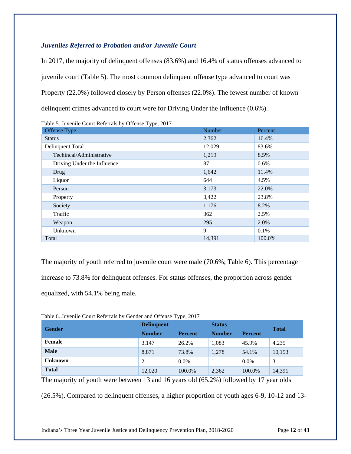## *Juveniles Referred to Probation and/or Juvenile Court*

In 2017, the majority of delinquent offenses (83.6%) and 16.4% of status offenses advanced to juvenile court (Table 5). The most common delinquent offense type advanced to court was Property (22.0%) followed closely by Person offenses (22.0%). The fewest number of known delinquent crimes advanced to court were for Driving Under the Influence (0.6%).

Table 5. Juvenile Court Referrals by Offense Type, 2017 Offense Type **Number Percent** Percent **Number Percent** Status 2,362 16.4% Delinquent Total 12,029 83.6% Techincal/Administrative 1,219 8.5% Driving Under the Influence 87 0.6%  $\text{Drug}$  11.4%  $Liquor$   $4.5\%$ **Person** 22.0% Property 23.8% 23.8% Society  $8.2\%$ Traffic  $362$  2.5% Weapon  $295$  2.0% Unknown 0.1% and 0.1% and 0.1% and 0.1% and 0.1% and 0.1% and 0.1% and 0.1% and 0.1% and 0.1% and 0.1% and 0.1% Total 14,391 100.0% and  $14,391$  100.0%

The majority of youth referred to juvenile court were male (70.6%; Table 6). This percentage increase to 73.8% for delinquent offenses. For status offenses, the proportion across gender equalized, with 54.1% being male.

| <b>Gender</b>  | <b>Delinquent</b> |                | <b>Status</b> |                | <b>Total</b> |
|----------------|-------------------|----------------|---------------|----------------|--------------|
|                | <b>Number</b>     | <b>Percent</b> | <b>Number</b> | <b>Percent</b> |              |
| Female         | 3,147             | 26.2%          | 1,083         | 45.9%          | 4,235        |
| <b>Male</b>    | 8,871             | 73.8%          | 1,278         | 54.1%          | 10,153       |
| <b>Unknown</b> |                   | $0.0\%$        |               | $0.0\%$        |              |
| <b>Total</b>   | 12,020            | 100.0%         | 2,362         | 100.0%         | 14,391       |

Table 6. Juvenile Court Referrals by Gender and Offense Type, 2017

The majority of youth were between 13 and 16 years old (65.2%) followed by 17 year olds

(26.5%). Compared to delinquent offenses, a higher proportion of youth ages 6-9, 10-12 and 13-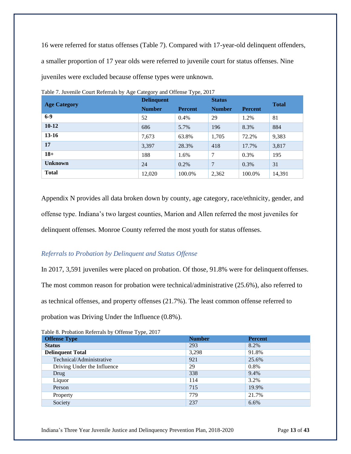16 were referred for status offenses (Table 7). Compared with 17-year-old delinquent offenders, a smaller proportion of 17 year olds were referred to juvenile court for status offenses. Nine juveniles were excluded because offense types were unknown.

| $\circ$             | <b>Delinquent</b> |                | <b>Status</b>  |                | <b>Total</b> |
|---------------------|-------------------|----------------|----------------|----------------|--------------|
| <b>Age Category</b> | <b>Number</b>     | <b>Percent</b> | <b>Number</b>  | <b>Percent</b> |              |
| $6-9$               | 52                | 0.4%           | 29             | 1.2%           | 81           |
| $10 - 12$           | 686               | 5.7%           | 196            | 8.3%           | 884          |
| $13 - 16$           | 7,673             | 63.8%          | 1,705          | 72.2%          | 9,383        |
| 17                  | 3,397             | 28.3%          | 418            | 17.7%          | 3,817        |
| $18+$               | 188               | 1.6%           | $\mathcal{I}$  | $0.3\%$        | 195          |
| <b>Unknown</b>      | 24                | $0.2\%$        | $\overline{7}$ | 0.3%           | 31           |
| <b>Total</b>        | 12,020            | 100.0%         | 2,362          | 100.0%         | 14,391       |

Table 7. Juvenile Court Referrals by Age Category and Offense Type, 2017

Appendix N provides all data broken down by county, age category, race/ethnicity, gender, and offense type. Indiana's two largest counties, Marion and Allen referred the most juveniles for delinquent offenses. Monroe County referred the most youth for status offenses.

## *Referrals to Probation by Delinquent and Status Offense*

In 2017, 3,591 juveniles were placed on probation. Of those, 91.8% were for delinquent offenses. The most common reason for probation were technical/administrative (25.6%), also referred to as technical offenses, and property offenses (21.7%). The least common offense referred to probation was Driving Under the Influence (0.8%).

| <b>Offense Type</b>         | <b>Number</b> | <b>Percent</b> |
|-----------------------------|---------------|----------------|
| <b>Status</b>               | 293           | 8.2%           |
| <b>Delinquent Total</b>     | 3,298         | 91.8%          |
| Technical/Administrative    | 921           | 25.6%          |
| Driving Under the Influence | 29            | 0.8%           |
| Drug                        | 338           | 9.4%           |
| Liquor                      | 114           | 3.2%           |
| Person                      | 715           | 19.9%          |
| Property                    | 779           | 21.7%          |
| Society                     | 237           | $6.6\%$        |

Table 8. Probation Referrals by Offense Type, 2017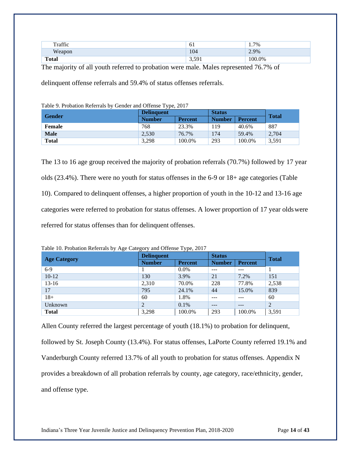| $T_{\rm raffic}$ | ΩT.                 | $7\%$<br>$\pm$ . |
|------------------|---------------------|------------------|
| Weapon           | 104                 | 2.9%             |
| <b>Total</b>     | 501<br><u>J.J.I</u> | $0.0\%$<br>. ററ  |

The majority of all youth referred to probation were male. Males represented 76.7% of

delinquent offense referrals and 59.4% of status offenses referrals.

| Table 9. Probation Referrals by Gender and Offense Type, 2017 |                   |                |               |                |              |  |
|---------------------------------------------------------------|-------------------|----------------|---------------|----------------|--------------|--|
|                                                               | <b>Delinquent</b> |                | <b>Status</b> |                |              |  |
| <b>Gender</b>                                                 | <b>Number</b>     | <b>Percent</b> | <b>Number</b> | <b>Percent</b> | <b>Total</b> |  |
| Female                                                        | 768               | 23.3%          | 119           | 40.6%          | 887          |  |
| <b>Male</b>                                                   | 2,530             | 76.7%          | 174           | 59.4%          | 2,704        |  |
| <b>Total</b>                                                  | 3.298             | 100.0%         | 293           | 100.0%         | 3.591        |  |

The 13 to 16 age group received the majority of probation referrals (70.7%) followed by 17 year olds (23.4%). There were no youth for status offenses in the 6-9 or 18+ age categories (Table 10). Compared to delinquent offenses, a higher proportion of youth in the 10-12 and 13-16 age categories were referred to probation for status offenses. A lower proportion of 17 year oldswere referred for status offenses than for delinquent offenses.

| <b>Age Category</b> | <b>Delinquent</b> |                | <b>Status</b> |                | <b>Total</b> |
|---------------------|-------------------|----------------|---------------|----------------|--------------|
|                     | <b>Number</b>     | <b>Percent</b> | <b>Number</b> | <b>Percent</b> |              |
| $6-9$               |                   | $0.0\%$        | ---           | $- - -$        |              |
| $10-12$             | 130               | 3.9%           | 21            | 7.2%           | 151          |
| $13-16$             | 2,310             | 70.0%          | 228           | 77.8%          | 2,538        |
| 17                  | 795               | 24.1%          | 44            | 15.0%          | 839          |
| $18+$               | 60                | 1.8%           | ---           |                | 60           |
| Unknown             | 2                 | $0.1\%$        | $- - -$       | $- - -$        | 2            |
| <b>Total</b>        | 3,298             | 100.0%         | 293           | 100.0%         | 3,591        |

Table 10. Probation Referrals by Age Category and Offense Type, 2017

Allen County referred the largest percentage of youth (18.1%) to probation for delinquent, followed by St. Joseph County (13.4%). For status offenses, LaPorte County referred 19.1% and Vanderburgh County referred 13.7% of all youth to probation for status offenses. Appendix N provides a breakdown of all probation referrals by county, age category, race/ethnicity, gender, and offense type.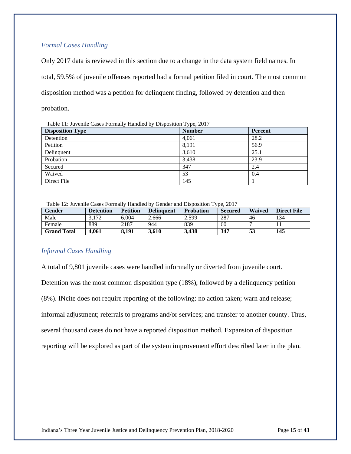## *Formal Cases Handling*

Only 2017 data is reviewed in this section due to a change in the data system field names. In total, 59.5% of juvenile offenses reported had a formal petition filed in court. The most common disposition method was a petition for delinquent finding, followed by detention and then probation.

Table 11: Juvenile Cases Formally Handled by Disposition Type, 2017

| <b>Disposition Type</b> | <b>Number</b> | <b>Percent</b> |
|-------------------------|---------------|----------------|
| Detention               | 4,061         | 28.2           |
| Petition                | 8,191         | 56.9           |
| Delinquent              | 3,610         | 25.1           |
| Probation               | 3,438         | 23.9           |
| Secured                 | 347           | 2.4            |
| Waived                  | 53            | 0.4            |
| Direct File             | 145           |                |

Table 12: Juvenile Cases Formally Handled by Gender and Disposition Type, 2017

| Gender      | Detention | <b>Petition</b> | <b>Delinquent</b> | <b>Probation</b> | <b>Secured</b> | <b>Waived</b> | <b>Direct File</b> |
|-------------|-----------|-----------------|-------------------|------------------|----------------|---------------|--------------------|
| Male        | 3.172     | 6.004           | 2.666             | 2.599            | 287            | 46            | 134                |
| Female      | 889       | 2187            | 944               | 839              | 60             |               |                    |
| Grand Total | 4.061     | 8.191           | 3.610             | 3.438            | 347            | 53            | 145                |

## *Informal Cases Handling*

A total of 9,801 juvenile cases were handled informally or diverted from juvenile court. Detention was the most common disposition type (18%), followed by a delinquency petition (8%). INcite does not require reporting of the following: no action taken; warn and release; informal adjustment; referrals to programs and/or services; and transfer to another county. Thus, several thousand cases do not have a reported disposition method. Expansion of disposition reporting will be explored as part of the system improvement effort described later in the plan.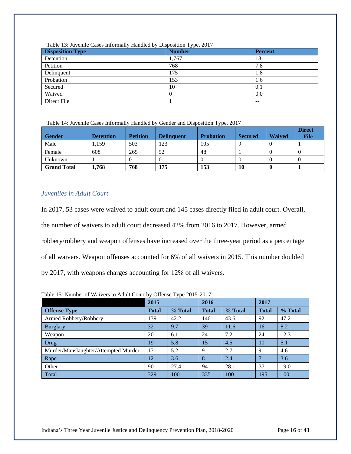| <b>Disposition Type</b> | <b>Number</b> | <b>Percent</b> |
|-------------------------|---------------|----------------|
| Detention               | 1,767         | 18             |
| Petition                | 768           | 7.8            |
| Delinquent              | 175           | 1.8            |
| Probation               | 153           | 1.6            |
| Secured                 | 10            | 0.1            |
| Waived                  | $\left($      | 0.0            |
| Direct File             |               | $- -$          |

Table 13: Juvenile Cases Informally Handled by Disposition Type, 2017

Table 14: Juvenile Cases Informally Handled by Gender and Disposition Type, 2017

| <b>Gender</b>      | <b>Detention</b> | <b>Petition</b> | <b>Delinquent</b> | <b>Probation</b> | <b>Secured</b> | <b>Waived</b> | <b>Direct</b><br><b>File</b> |
|--------------------|------------------|-----------------|-------------------|------------------|----------------|---------------|------------------------------|
| Male               | 1.159            | 503             | 123               | 105              |                |               |                              |
| Female             | 608              | 265             | 52                | 48               |                |               |                              |
| Unknown            |                  |                 |                   |                  | O              |               | v                            |
| <b>Grand Total</b> | 1,768            | 768             | 175               | 153              | 10             |               |                              |

## *Juveniles in Adult Court*

In 2017, 53 cases were waived to adult court and 145 cases directly filed in adult court. Overall, the number of waivers to adult court decreased 42% from 2016 to 2017. However, armed robbery/robbery and weapon offenses have increased over the three-year period as a percentage of all waivers. Weapon offenses accounted for 6% of all waivers in 2015. This number doubled by 2017, with weapons charges accounting for 12% of all waivers.

Table 15: Number of Waivers to Adult Court by Offense Type 2015-2017

|                                      | 2015         |         | 2016         |         | 2017         |         |
|--------------------------------------|--------------|---------|--------------|---------|--------------|---------|
| <b>Offense Type</b>                  | <b>Total</b> | % Total | <b>Total</b> | % Total | <b>Total</b> | % Total |
| Armed Robbery/Robbery                | 139          | 42.2    | 146          | 43.6    | 92           | 47.2    |
| <b>Burglary</b>                      | 32           | 9.7     | 39           | 11.6    | 16           | 8.2     |
| Weapon                               | 20           | 6.1     | 24           | 7.2     | 24           | 12.3    |
| Drug                                 | 19           | 5.8     | 15           | 4.5     | 10           | 5.1     |
| Murder/Manslaughter/Attempted Murder | 17           | 5.2     | 9            | 2.7     | 9            | 4.6     |
| Rape                                 | 12           | 3.6     | 8            | 2.4     |              | 3.6     |
| Other                                | 90           | 27.4    | 94           | 28.1    | 37           | 19.0    |
| Total                                | 329          | 100     | 335          | 100     | 195          | 100     |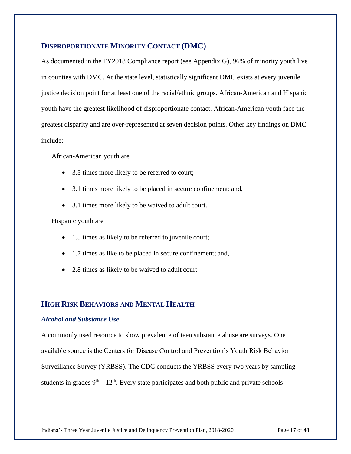## **DISPROPORTIONATE MINORITY CONTACT (DMC)**

As documented in the FY2018 Compliance report (see Appendix G), 96% of minority youth live in counties with DMC. At the state level, statistically significant DMC exists at every juvenile justice decision point for at least one of the racial/ethnic groups. African-American and Hispanic youth have the greatest likelihood of disproportionate contact. African-American youth face the greatest disparity and are over-represented at seven decision points. Other key findings on DMC include:

African-American youth are

- 3.5 times more likely to be referred to court;
- 3.1 times more likely to be placed in secure confinement; and,
- 3.1 times more likely to be waived to adult court.

Hispanic youth are

- 1.5 times as likely to be referred to juvenile court;
- 1.7 times as like to be placed in secure confinement; and,
- 2.8 times as likely to be waived to adult court.

## **HIGH RISK BEHAVIORS AND MENTAL HEALTH**

#### *Alcohol and Substance Use*

A commonly used resource to show prevalence of teen substance abuse are surveys. One available source is the Centers for Disease Control and Prevention's Youth Risk Behavior Surveillance Survey (YRBSS). The CDC conducts the YRBSS every two years by sampling students in grades  $9<sup>th</sup> - 12<sup>th</sup>$ . Every state participates and both public and private schools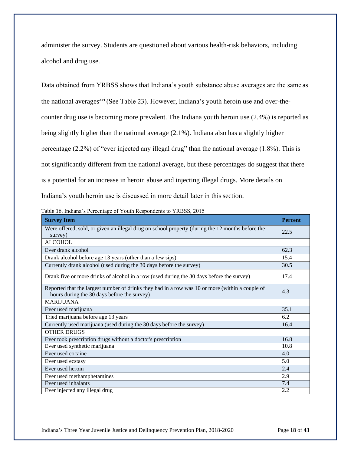administer the survey. Students are questioned about various health-risk behaviors, including alcohol and drug use.

Data obtained from YRBSS shows that Indiana's youth substance abuse averages are the same as the national averages<sup>xvi</sup> (See Table 23). However, Indiana's youth heroin use and over-thecounter drug use is becoming more prevalent. The Indiana youth heroin use (2.4%) is reported as being slightly higher than the national average (2.1%). Indiana also has a slightly higher percentage (2.2%) of "ever injected any illegal drug" than the national average (1.8%). This is not significantly different from the national average, but these percentages do suggest that there is a potential for an increase in heroin abuse and injecting illegal drugs. More details on Indiana's youth heroin use is discussed in more detail later in this section.

Table 16. Indiana's Percentage of Youth Respondents to YRBSS, 2015

| <b>Survey Item</b>                                                                                                                             | <b>Percent</b> |
|------------------------------------------------------------------------------------------------------------------------------------------------|----------------|
| Were offered, sold, or given an illegal drug on school property (during the 12 months before the<br>survey)                                    | 22.5           |
| <b>ALCOHOL</b>                                                                                                                                 |                |
| Ever drank alcohol                                                                                                                             | 62.3           |
| Drank alcohol before age 13 years (other than a few sips)                                                                                      | 15.4           |
| Currently drank alcohol (used during the 30 days before the survey)                                                                            | 30.5           |
| Drank five or more drinks of alcohol in a row (used during the 30 days before the survey)                                                      | 17.4           |
| Reported that the largest number of drinks they had in a row was 10 or more (within a couple of<br>hours during the 30 days before the survey) | 4.3            |
| <b>MARIJUANA</b>                                                                                                                               |                |
| Ever used marijuana                                                                                                                            | 35.1           |
| Tried marijuana before age 13 years                                                                                                            | 6.2            |
| Currently used marijuana (used during the 30 days before the survey)                                                                           | 16.4           |
| <b>OTHER DRUGS</b>                                                                                                                             |                |
| Ever took prescription drugs without a doctor's prescription                                                                                   | 16.8           |
| Ever used synthetic marijuana                                                                                                                  | 10.8           |
| Ever used cocaine                                                                                                                              | 4.0            |
| Ever used ecstasy                                                                                                                              | 5.0            |
| Ever used heroin                                                                                                                               | 2.4            |
| Ever used methamphetamines                                                                                                                     | 2.9            |
| Ever used inhalants                                                                                                                            | 7.4            |
| Ever injected any illegal drug                                                                                                                 | 2.2            |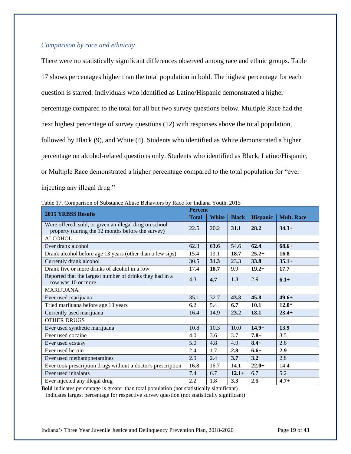## *Comparison by race and ethnicity*

There were no statistically significant differences observed among race and ethnic groups. Table 17 shows percentages higher than the total population in bold. The highest percentage for each question is starred. Individuals who identified as Latino/Hispanic demonstrated a higher percentage compared to the total for all but two survey questions below. Multiple Race had the next highest percentage of survey questions (12) with responses above the total population, followed by Black (9), and White (4). Students who identified as White demonstrated a higher percentage on alcohol-related questions only. Students who identified as Black, Latino/Hispanic, or Multiple Race demonstrated a higher percentage compared to the total population for "ever injecting any illegal drug."

|                                                                                                             |              | <b>Percent</b> |              |                 |                   |  |  |
|-------------------------------------------------------------------------------------------------------------|--------------|----------------|--------------|-----------------|-------------------|--|--|
| <b>2015 YRBSS Results</b>                                                                                   | <b>Total</b> | <b>White</b>   | <b>Black</b> | <b>Hispanic</b> | <b>Mult. Race</b> |  |  |
| Were offered, sold, or given an illegal drug on school<br>property (during the 12 months before the survey) | 22.5         | 20.2           | 31.1         | 28.2            | $34.3+$           |  |  |
| <b>ALCOHOL</b>                                                                                              |              |                |              |                 |                   |  |  |
| Ever drank alcohol                                                                                          | 62.3         | 63.6           | 54.6         | 62.4            | $68.6+$           |  |  |
| Drank alcohol before age 13 years (other than a few sips)                                                   | 15.4         | 13.1           | 18.7         | $25.2+$         | 16.8              |  |  |
| Currently drank alcohol                                                                                     | 30.5         | 31.3           | 23.3         | 33.8            | $35.1+$           |  |  |
| Drank five or more drinks of alcohol in a row                                                               | 17.4         | 18.7           | 9.9          | $19.2+$         | 17.7              |  |  |
| Reported that the largest number of drinks they had in a<br>row was 10 or more                              | 4.3          | 4.7            | 1.8          | 2.9             | $6.1+$            |  |  |
| <b>MARIJUANA</b>                                                                                            |              |                |              |                 |                   |  |  |
| Ever used marijuana                                                                                         | 35.1         | 32.7           | 43.3         | 45.8            | $49.6+$           |  |  |
| Tried marijuana before age 13 years                                                                         | 6.2          | 5.4            | 6.7          | 10.1            | $12.0*$           |  |  |
| Currently used marijuana                                                                                    | 16.4         | 14.9           | 23.2         | 18.1            | $23.4+$           |  |  |
| <b>OTHER DRUGS</b>                                                                                          |              |                |              |                 |                   |  |  |
| Ever used synthetic marijuana                                                                               | 10.8         | 10.3           | 10.0         | $14.9+$         | 13.9              |  |  |
| Ever used cocaine                                                                                           | 4.0          | 3.6            | 3.7          | $7.8+$          | 3.5               |  |  |
| Ever used ecstasy                                                                                           | 5.0          | 4.8            | 4.9          | $8.4+$          | 2.6               |  |  |
| Ever used heroin                                                                                            | 2.4          | 1.7            | 2.8          | $6.6+$          | 2.9               |  |  |
| Ever used methamphetamines                                                                                  | 2.9          | 2.4            | $3.7+$       | 3.2             | 2.8               |  |  |
| Ever took prescription drugs without a doctor's prescription                                                | 16.8         | 16.7           | 14.1         | $22.0+$         | 14.4              |  |  |
| Ever used inhalants                                                                                         | 7.4          | 6.7            | $12.1+$      | 6.7             | 5.2               |  |  |
| Ever injected any illegal drug                                                                              | 2.2          | 1.8            | 3.3          | 2.5             | $4.7+$            |  |  |

Table 17. Comparison of Substance Abuse Behaviors by Race for Indiana Youth, 2015

**Bold** indicates percentage is greater than total population (not statistically significant)

+ indicates largest percentage for respective survey question (not statistically significant)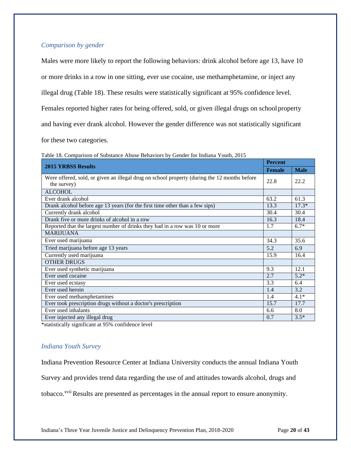## *Comparison by gender*

Males were more likely to report the following behaviors: drink alcohol before age 13, have 10

or more drinks in a row in one sitting, ever use cocaine, use methamphetamine, or inject any

illegal drug (Table 18). These results were statistically significant at 95% confidence level.

Females reported higher rates for being offered, sold, or given illegal drugs on school property

and having ever drank alcohol. However the gender difference was not statistically significant

for these two categories.

| <b>2015 YRBSS Results</b>                                                                                   | <b>Female</b> | <b>Male</b> |
|-------------------------------------------------------------------------------------------------------------|---------------|-------------|
| Were offered, sold, or given an illegal drug on school property (during the 12 months before<br>the survey) | 22.8          | 22.2        |
| <b>ALCOHOL</b>                                                                                              |               |             |
| Ever drank alcohol                                                                                          | 63.2          | 61.3        |
| Drank alcohol before age 13 years (for the first time other than a few sips)                                | 13.3          | $17.3*$     |
| Currently drank alcohol                                                                                     | 30.4          | 30.4        |
| Drank five or more drinks of alcohol in a row                                                               | 16.3          | 18.4        |
| Reported that the largest number of drinks they had in a row was 10 or more                                 | 1.7           | $6.7*$      |
| <b>MARIJUANA</b>                                                                                            |               |             |
| Ever used marijuana                                                                                         | 34.3          | 35.6        |
| Tried marijuana before age 13 years                                                                         | 5.2           | 6.9         |
| Currently used marijuana                                                                                    | 15.9          | 16.4        |
| <b>OTHER DRUGS</b>                                                                                          |               |             |
| Ever used synthetic marijuana                                                                               | 9.3           | 12.1        |
| Ever used cocaine                                                                                           | 2.7           | $5.2*$      |
| Ever used ecstasy                                                                                           | 3.3           | 6.4         |
| Ever used heroin                                                                                            | 1.4           | 3.2         |
| Ever used methamphetamines                                                                                  | 1.4           | $4.1*$      |
| Ever took prescription drugs without a doctor's prescription                                                | 15.7          | 17.7        |
| Ever used inhalants                                                                                         | 6.6           | 8.0         |
| Ever injected any illegal drug                                                                              | 0.7           | $3.5*$      |

Table 18. Comparison of Substance Abuse Behaviors by Gender for Indiana Youth, 2015

\*statistically significant at 95% confidence level

#### *Indiana Youth Survey*

Indiana Prevention Resource Center at Indiana University conducts the annual Indiana Youth

Survey and provides trend data regarding the use of and attitudes towards alcohol, drugs and

tobacco.<sup>xvii</sup> Results are presented as percentages in the annual report to ensure anonymity.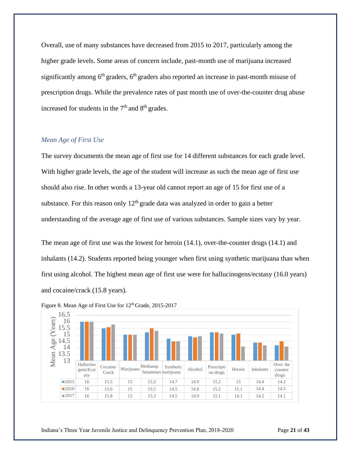Overall, use of many substances have decreased from 2015 to 2017, particularly among the higher grade levels. Some areas of concern include, past-month use of marijuana increased significantly among  $6<sup>th</sup>$  graders,  $6<sup>th</sup>$  graders also reported an increase in past-month misuse of prescription drugs. While the prevalence rates of past month use of over-the-counter drug abuse increased for students in the  $7<sup>th</sup>$  and  $8<sup>th</sup>$  grades.

## *Mean Age of First Use*

The survey documents the mean age of first use for 14 different substances for each grade level. With higher grade levels, the age of the student will increase as such the mean age of first use should also rise. In other words a 13-year old cannot report an age of 15 for first use of a substance. For this reason only  $12<sup>th</sup>$  grade data was analyzed in order to gain a better understanding of the average age of first use of various substances. Sample sizes vary by year.

The mean age of first use was the lowest for heroin (14.1), over-the-counter drugs (14.1) and inhalants (14.2). Students reported being younger when first using synthetic marijuana than when first using alcohol. The highest mean age of first use were for hallucinogens/ecstasy (16.0 years) and cocaine/crack (15.8 years).



Figure 8. Mean Age of First Use for 12<sup>th</sup> Grade, 2015-2017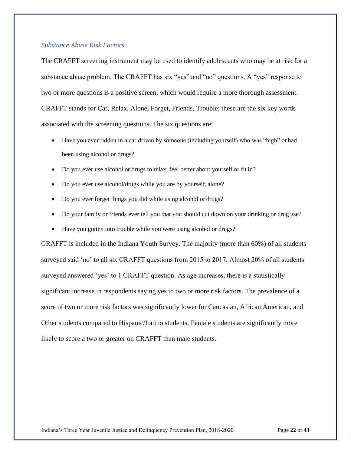#### *Substance Abuse Risk Factors*

The CRAFFT screening instrument may be used to identify adolescents who may be at risk for a substance abuse problem. The CRAFFT has six "yes" and "no" questions. A "yes" response to two or more questions is a positive screen, which would require a more thorough assessment. CRAFFT stands for Car, Relax, Alone, Forget, Friends, Trouble; these are the six key words associated with the screening questions. The six questions are:

- Have you ever ridden in a car driven by someone (including yourself) who was "high" or had been using alcohol or drugs?
- Do you ever use alcohol or drugs to relax, feel better about yourself or fit in?
- Do you ever use alcohol/drugs while you are by yourself, alone?
- Do you ever forget things you did while using alcohol or drugs?
- Do your family or friends ever tell you that you should cut down on your drinking or drug use?
- Have you gotten into trouble while you were using alcohol or drugs?

CRAFFT is included in the Indiana Youth Survey. The majority (more than 60%) of all students surveyed said 'no' to all six CRAFFT questions from 2015 to 2017. Almost 20% of all students surveyed answered 'yes' to 1 CRAFFT question. As age increases, there is a statistically significant increase in respondents saying yes to two or more risk factors. The prevalence of a score of two or more risk factors was significantly lower for Caucasian, African American, and Other students compared to Hispanic/Latino students. Female students are significantly more likely to score a two or greater on CRAFFT than male students.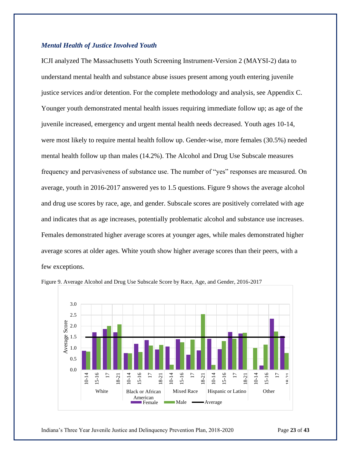#### *Mental Health of Justice Involved Youth*

ICJI analyzed The Massachusetts Youth Screening Instrument-Version 2 (MAYSI-2) data to understand mental health and substance abuse issues present among youth entering juvenile justice services and/or detention. For the complete methodology and analysis, see Appendix C. Younger youth demonstrated mental health issues requiring immediate follow up; as age of the juvenile increased, emergency and urgent mental health needs decreased. Youth ages 10-14, were most likely to require mental health follow up. Gender-wise, more females (30.5%) needed mental health follow up than males (14.2%). The Alcohol and Drug Use Subscale measures frequency and pervasiveness of substance use. The number of "yes" responses are measured. On average, youth in 2016-2017 answered yes to 1.5 questions. Figure 9 shows the average alcohol and drug use scores by race, age, and gender. Subscale scores are positively correlated with age and indicates that as age increases, potentially problematic alcohol and substance use increases. Females demonstrated higher average scores at younger ages, while males demonstrated higher average scores at older ages. White youth show higher average scores than their peers, with a few exceptions.





Indiana's Three Year Juvenile Justice and Delinquency Prevention Plan, 2018-2020 Page **23** of **43**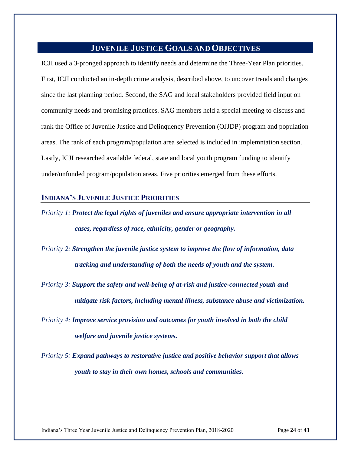# **JUVENILE JUSTICE GOALS ANDOBJECTIVES**

<span id="page-26-0"></span>ICJI used a 3-pronged approach to identify needs and determine the Three-Year Plan priorities. First, ICJI conducted an in-depth crime analysis, described above, to uncover trends and changes since the last planning period. Second, the SAG and local stakeholders provided field input on community needs and promising practices. SAG members held a special meeting to discuss and rank the Office of Juvenile Justice and Delinquency Prevention (OJJDP) program and population areas. The rank of each program/population area selected is included in implemntation section. Lastly, ICJI researched available federal, state and local youth program funding to identify under/unfunded program/population areas. Five priorities emerged from these efforts.

## **INDIANA'S JUVENILE JUSTICE PRIORITIES**

*Priority 1: Protect the legal rights of juveniles and ensure appropriate intervention in all cases, regardless of race, ethnicity, gender or geography.*

*Priority 2: Strengthen the juvenile justice system to improve the flow of information, data tracking and understanding of both the needs of youth and the system.*

*Priority 3: Support the safety and well-being of at-risk and justice-connected youth and mitigate risk factors, including mental illness, substance abuse and victimization.*

- *Priority 4: Improve service provision and outcomes for youth involved in both the child welfare and juvenile justice systems.*
- *Priority 5: Expand pathways to restorative justice and positive behavior support that allows youth to stay in their own homes, schools and communities.*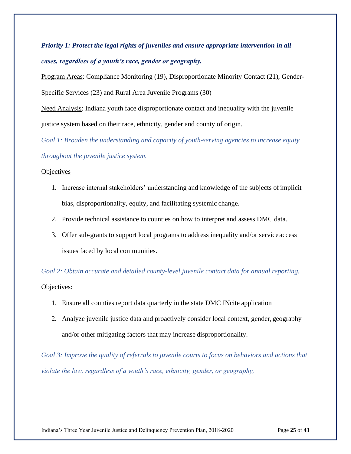*Priority 1: Protect the legal rights of juveniles and ensure appropriate intervention in all cases, regardless of a youth's race, gender or geography.*

Program Areas: Compliance Monitoring (19), Disproportionate Minority Contact (21), Gender-Specific Services (23) and Rural Area Juvenile Programs (30)

Need Analysis: Indiana youth face disproportionate contact and inequality with the juvenile justice system based on their race, ethnicity, gender and county of origin.

*Goal 1: Broaden the understanding and capacity of youth-serving agencies to increase equity throughout the juvenile justice system.*

## **Objectives**

- 1. Increase internal stakeholders' understanding and knowledge of the subjects ofimplicit bias, disproportionality, equity, and facilitating systemic change.
- 2. Provide technical assistance to counties on how to interpret and assess DMC data.
- 3. Offer sub-grants to support local programs to address inequality and/or service access issues faced by local communities.

*Goal 2: Obtain accurate and detailed county-level juvenile contact data for annual reporting.* Objectives:

- 1. Ensure all counties report data quarterly in the state DMC INcite application
- 2. Analyze juvenile justice data and proactively consider local context, gender, geography and/or other mitigating factors that may increase disproportionality.

*Goal 3: Improve the quality of referrals to juvenile courts to focus on behaviors and actions that violate the law, regardless of a youth's race, ethnicity, gender, or geography,*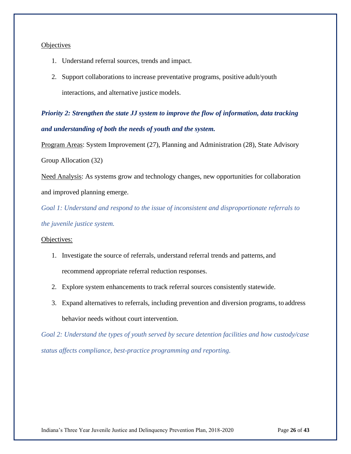## **Objectives**

- 1. Understand referral sources, trends and impact.
- 2. Support collaborations to increase preventative programs, positive adult/youth interactions, and alternative justice models.

*Priority 2: Strengthen the state JJ system to improve the flow of information, data tracking and understanding of both the needs of youth and the system.*

Program Areas: System Improvement (27), Planning and Administration (28), State Advisory Group Allocation (32)

Need Analysis: As systems grow and technology changes, new opportunities for collaboration and improved planning emerge.

*Goal 1: Understand and respond to the issue of inconsistent and disproportionate referrals to the juvenile justice system.*

## Objectives:

- 1. Investigate the source of referrals, understand referral trends and patterns, and recommend appropriate referral reduction responses.
- 2. Explore system enhancements to track referral sources consistently statewide.
- 3. Expand alternatives to referrals, including prevention and diversion programs, to address behavior needs without court intervention.

*Goal 2: Understand the types of youth served by secure detention facilities and how custody/case status affects compliance, best-practice programming and reporting.*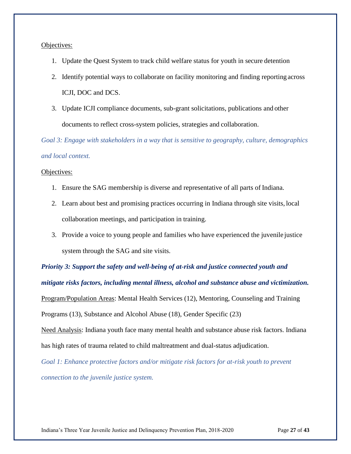#### Objectives:

- 1. Update the Quest System to track child welfare status for youth in secure detention
- 2. Identify potential ways to collaborate on facility monitoring and finding reporting across ICJI, DOC and DCS.
- 3. Update ICJI compliance documents, sub-grant solicitations, publications and other documents to reflect cross-system policies, strategies and collaboration.

*Goal 3: Engage with stakeholders in a way that is sensitive to geography, culture, demographics and local context.*

#### Objectives:

- 1. Ensure the SAG membership is diverse and representative of all parts of Indiana.
- 2. Learn about best and promising practices occurring in Indiana through site visits, local collaboration meetings, and participation in training.
- 3. Provide a voice to young people and families who have experienced the juvenile justice system through the SAG and site visits.

*Priority 3: Support the safety and well-being of at-risk and justice connected youth and mitigate risks factors, including mental illness, alcohol and substance abuse and victimization.*  Program/Population Areas: Mental Health Services (12), Mentoring, Counseling and Training Programs (13), Substance and Alcohol Abuse (18), Gender Specific (23)

Need Analysis: Indiana youth face many mental health and substance abuse risk factors. Indiana has high rates of trauma related to child maltreatment and dual-status adjudication.

*Goal 1: Enhance protective factors and/or mitigate risk factors for at-risk youth to prevent connection to the juvenile justice system.*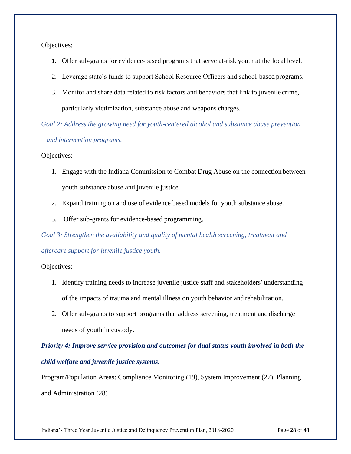## Objectives:

- 1. Offer sub-grants for evidence-based programs that serve at-risk youth at the local level.
- 2. Leverage state's funds to support School Resource Officers and school-based programs.
- 3. Monitor and share data related to risk factors and behaviors that link to juvenile crime, particularly victimization, substance abuse and weapons charges.

*Goal 2: Address the growing need for youth-centered alcohol and substance abuse prevention and intervention programs.*

## Objectives:

- 1. Engage with the Indiana Commission to Combat Drug Abuse on the connection between youth substance abuse and juvenile justice.
- 2. Expand training on and use of evidence based models for youth substance abuse.
- 3. Offer sub-grants for evidence-based programming.

*Goal 3: Strengthen the availability and quality of mental health screening, treatment and aftercare support for juvenile justice youth.*

## Objectives:

- 1. Identify training needs to increase juvenile justice staff and stakeholders' understanding of the impacts of trauma and mental illness on youth behavior and rehabilitation.
- 2. Offer sub-grants to support programs that address screening, treatment and discharge needs of youth in custody.

*Priority 4: Improve service provision and outcomes for dual status youth involved in both the child welfare and juvenile justice systems.*

Program/Population Areas: Compliance Monitoring (19), System Improvement (27), Planning and Administration (28)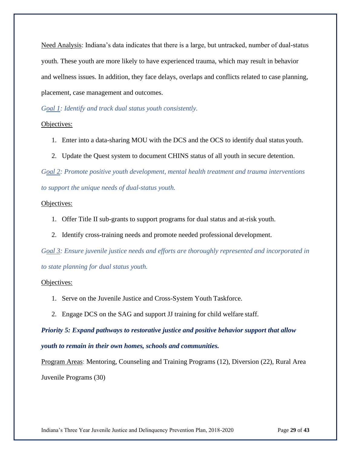Need Analysis: Indiana's data indicates that there is a large, but untracked, number of dual-status youth. These youth are more likely to have experienced trauma, which may result in behavior and wellness issues. In addition, they face delays, overlaps and conflicts related to case planning, placement, case management and outcomes.

## *Goal 1: Identify and track dual status youth consistently.*

## Objectives:

- 1. Enter into a data-sharing MOU with the DCS and the OCS to identify dual status youth.
- 2. Update the Quest system to document CHINS status of all youth in secure detention.

*Goal 2: Promote positive youth development, mental health treatment and trauma interventions to support the unique needs of dual-status youth.*

## Objectives:

- 1. Offer Title II sub-grants to support programs for dual status and at-risk youth.
- 2. Identify cross-training needs and promote needed professional development.

*Goal 3: Ensure juvenile justice needs and efforts are thoroughly represented and incorporated in to state planning for dual status youth.*

## Objectives:

- 1. Serve on the Juvenile Justice and Cross-System Youth Taskforce.
- 2. Engage DCS on the SAG and support JJ training for child welfare staff.

*Priority 5: Expand pathways to restorative justice and positive behavior support that allow youth to remain in their own homes, schools and communities.*

Program Areas: Mentoring, Counseling and Training Programs (12), Diversion (22), Rural Area Juvenile Programs (30)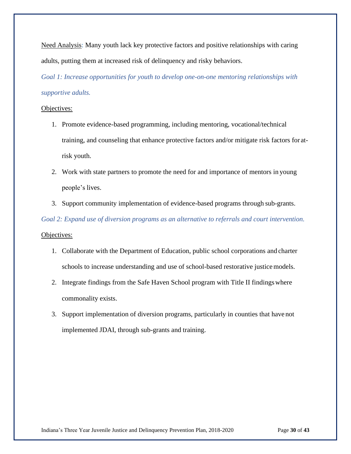Need Analysis: Many youth lack key protective factors and positive relationships with caring adults, putting them at increased risk of delinquency and risky behaviors.

*Goal 1: Increase opportunities for youth to develop one-on-one mentoring relationships with supportive adults.*

## Objectives:

- 1. Promote evidence-based programming, including mentoring, vocational/technical training, and counseling that enhance protective factors and/or mitigate risk factors for atrisk youth.
- 2. Work with state partners to promote the need for and importance of mentors in young people's lives.
- 3. Support community implementation of evidence-based programs through sub-grants.

*Goal 2: Expand use of diversion programs as an alternative to referrals and court intervention.* Objectives:

- 1. Collaborate with the Department of Education, public school corporations and charter schools to increase understanding and use of school-based restorative justicemodels.
- 2. Integrate findings from the Safe Haven School program with Title II findingswhere commonality exists.
- 3. Support implementation of diversion programs, particularly in counties that have not implemented JDAI, through sub-grants and training.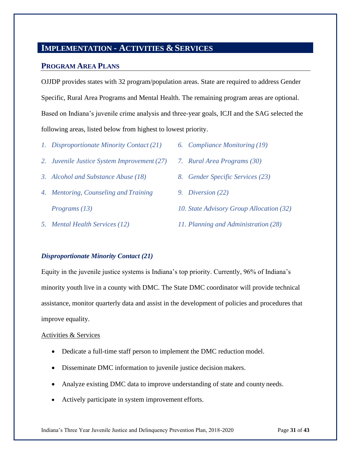# **IMPLEMENTATION - ACTIVITIES &SERVICES**

## **PROGRAM AREA PLANS**

OJJDP provides states with 32 program/population areas. State are required to address Gender Specific, Rural Area Programs and Mental Health. The remaining program areas are optional. Based on Indiana's juvenile crime analysis and three-year goals, ICJI and the SAG selected the following areas, listed below from highest to lowest priority.

- *1. Disproportionate Minority Contact (21)*
- *2. Juvenile Justice System Improvement (27)*
- *3. Alcohol and Substance Abuse (18)*
- *4. Mentoring, Counseling and Training Programs (13)*
- *5. Mental Health Services (12)*
- *6. Compliance Monitoring (19)*
- *7. Rural Area Programs (30)*
- *8. Gender Specific Services (23)*
- *9. Diversion (22)*
- *10. State Advisory Group Allocation (32)*
- *11. Planning and Administration (28)*

## *Disproportionate Minority Contact (21)*

Equity in the juvenile justice systems is Indiana's top priority. Currently, 96% of Indiana's minority youth live in a county with DMC. The State DMC coordinator will provide technical assistance, monitor quarterly data and assist in the development of policies and procedures that improve equality.

#### Activities & Services

- Dedicate a full-time staff person to implement the DMC reduction model.
- Disseminate DMC information to juvenile justice decision makers.
- Analyze existing DMC data to improve understanding of state and county needs.
- Actively participate in system improvement efforts.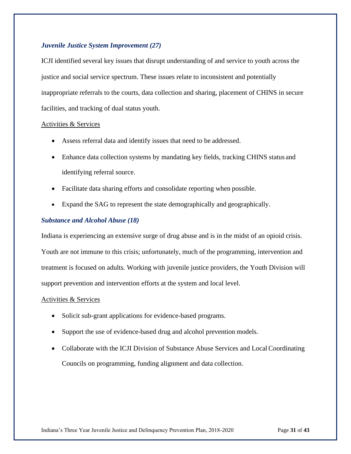## *Juvenile Justice System Improvement (27)*

ICJI identified several key issues that disrupt understanding of and service to youth across the justice and social service spectrum. These issues relate to inconsistent and potentially inappropriate referrals to the courts, data collection and sharing, placement of CHINS in secure facilities, and tracking of dual status youth.

#### Activities & Services

- Assess referral data and identify issues that need to be addressed.
- Enhance data collection systems by mandating key fields, tracking CHINS status and identifying referral source.
- Facilitate data sharing efforts and consolidate reporting when possible.
- Expand the SAG to represent the state demographically and geographically.

## *Substance and Alcohol Abuse (18)*

Indiana is experiencing an extensive surge of drug abuse and is in the midst of an opioid crisis.

Youth are not immune to this crisis; unfortunately, much of the programming, intervention and treatment is focused on adults. Working with juvenile justice providers, the Youth Division will support prevention and intervention efforts at the system and local level.

#### Activities & Services

- Solicit sub-grant applications for evidence-based programs.
- Support the use of evidence-based drug and alcohol prevention models.
- Collaborate with the ICJI Division of Substance Abuse Services and Local Coordinating Councils on programming, funding alignment and data collection.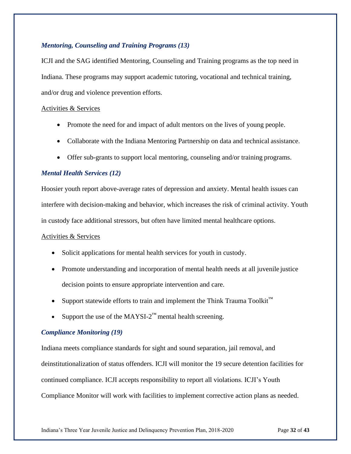## *Mentoring, Counseling and Training Programs (13)*

ICJI and the SAG identified Mentoring, Counseling and Training programs as the top need in Indiana. These programs may support academic tutoring, vocational and technical training, and/or drug and violence prevention efforts.

## Activities & Services

- Promote the need for and impact of adult mentors on the lives of young people.
- Collaborate with the Indiana Mentoring Partnership on data and technical assistance.
- Offer sub-grants to support local mentoring, counseling and/or training programs.

## *Mental Health Services (12)*

Hoosier youth report above-average rates of depression and anxiety. Mental health issues can interfere with decision-making and behavior, which increases the risk of criminal activity. Youth in custody face additional stressors, but often have limited mental healthcare options.

## Activities & Services

- Solicit applications for mental health services for youth in custody.
- Promote understanding and incorporation of mental health needs at all juvenile justice decision points to ensure appropriate intervention and care.
- Support statewide efforts to train and implement the Think Trauma Toolkit<sup>™</sup>
- Support the use of the MAYSI- $2^{\text{m}}$  mental health screening.

## *Compliance Monitoring (19)*

Indiana meets compliance standards for sight and sound separation, jail removal, and deinstitutionalization of status offenders. ICJI will monitor the 19 secure detention facilities for continued compliance. ICJI accepts responsibility to report all violations. ICJI's Youth Compliance Monitor will work with facilities to implement corrective action plans as needed.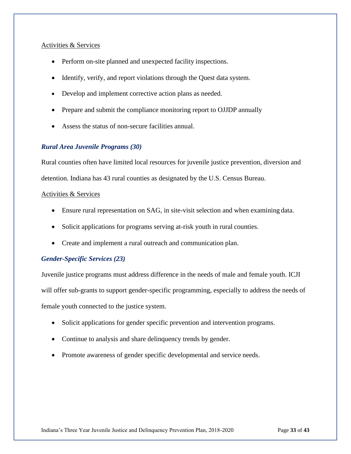## Activities & Services

- Perform on-site planned and unexpected facility inspections.
- Identify, verify, and report violations through the Quest data system.
- Develop and implement corrective action plans as needed.
- Prepare and submit the compliance monitoring report to OJJDP annually
- Assess the status of non-secure facilities annual.

## *Rural Area Juvenile Programs (30)*

Rural counties often have limited local resources for juvenile justice prevention, diversion and detention. Indiana has 43 rural counties as designated by the U.S. Census Bureau.

## Activities & Services

- Ensure rural representation on SAG, in site-visit selection and when examining data.
- Solicit applications for programs serving at-risk youth in rural counties.
- Create and implement a rural outreach and communication plan.

## *Gender-Specific Services (23)*

Juvenile justice programs must address difference in the needs of male and female youth. ICJI will offer sub-grants to support gender-specific programming, especially to address the needs of female youth connected to the justice system.

- Solicit applications for gender specific prevention and intervention programs.
- Continue to analysis and share delinquency trends by gender.
- Promote awareness of gender specific developmental and service needs.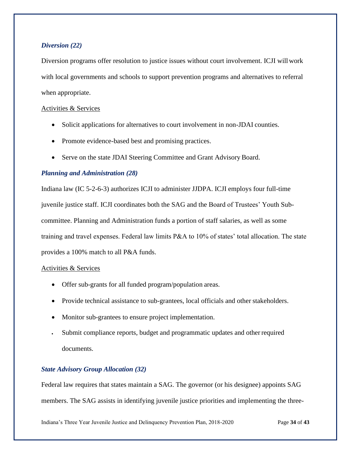## *Diversion (22)*

Diversion programs offer resolution to justice issues without court involvement. ICJI will work with local governments and schools to support prevention programs and alternatives to referral when appropriate.

## Activities & Services

- Solicit applications for alternatives to court involvement in non-JDAI counties.
- Promote evidence-based best and promising practices.
- Serve on the state JDAI Steering Committee and Grant Advisory Board.

## *Planning and Administration (28)*

Indiana law (IC 5-2-6-3) authorizes ICJI to administer JJDPA. ICJI employs four full-time juvenile justice staff. ICJI coordinates both the SAG and the Board of Trustees' Youth Subcommittee. Planning and Administration funds a portion of staff salaries, as well as some training and travel expenses. Federal law limits P&A to 10% of states' total allocation. The state provides a 100% match to all P&A funds.

## Activities & Services

- Offer sub-grants for all funded program/population areas.
- Provide technical assistance to sub-grantees, local officials and other stakeholders.
- Monitor sub-grantees to ensure project implementation.
- Submit compliance reports, budget and programmatic updates and otherrequired documents.

## *State Advisory Group Allocation (32)*

Federal law requires that states maintain a SAG. The governor (or his designee) appoints SAG members. The SAG assists in identifying juvenile justice priorities and implementing the three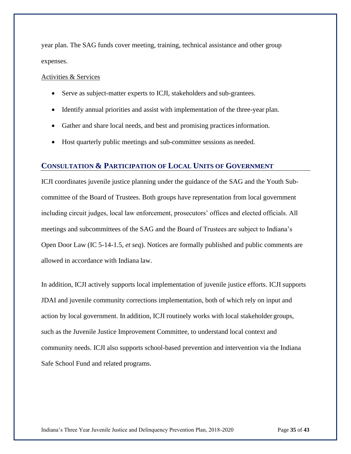year plan. The SAG funds cover meeting, training, technical assistance and other group expenses.

## Activities & Services

- Serve as subject-matter experts to ICJI, stakeholders and sub-grantees.
- Identify annual priorities and assist with implementation of the three-year plan.
- Gather and share local needs, and best and promising practices information.
- Host quarterly public meetings and sub-committee sessions as needed.

## **CONSULTATION & PARTICIPATION OF LOCAL UNITS OF GOVERNMENT**

ICJI coordinates juvenile justice planning under the guidance of the SAG and the Youth Subcommittee of the Board of Trustees. Both groups have representation from local government including circuit judges, local law enforcement, prosecutors' offices and elected officials. All meetings and subcommittees of the SAG and the Board of Trustees are subject to Indiana's Open Door Law (IC 5-14-1.5, *et seq*). Notices are formally published and public comments are allowed in accordance with Indiana law.

In addition, ICJI actively supports local implementation of juvenile justice efforts. ICJI supports JDAI and juvenile community corrections implementation, both of which rely on input and action by local government. In addition, ICJI routinely works with local stakeholder groups, such as the Juvenile Justice Improvement Committee, to understand local context and community needs. ICJI also supports school-based prevention and intervention via the Indiana Safe School Fund and related programs.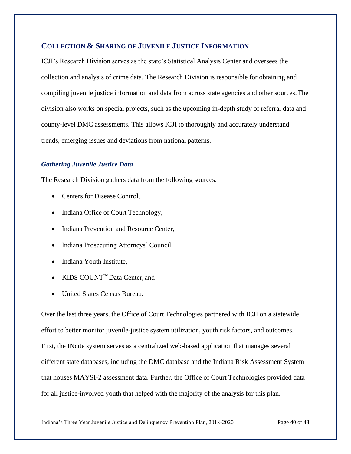## **COLLECTION & SHARING OF JUVENILE JUSTICE INFORMATION**

ICJI's Research Division serves as the state's Statistical Analysis Center and oversees the collection and analysis of crime data. The Research Division is responsible for obtaining and compiling juvenile justice information and data from across state agencies and other sources.The division also works on special projects, such as the upcoming in-depth study of referral data and county-level DMC assessments. This allows ICJI to thoroughly and accurately understand trends, emerging issues and deviations from national patterns.

## *Gathering Juvenile Justice Data*

The Research Division gathers data from the following sources:

- Centers for Disease Control,
- Indiana Office of Court Technology,
- Indiana Prevention and Resource Center,
- Indiana Prosecuting Attorneys' Council,
- Indiana Youth Institute,
- KIDS COUNT™ Data Center, and
- United States Census Bureau.

Over the last three years, the Office of Court Technologies partnered with ICJI on a statewide effort to better monitor juvenile-justice system utilization, youth risk factors, and outcomes. First, the INcite system serves as a centralized web-based application that manages several different state databases, including the DMC database and the Indiana Risk Assessment System that houses MAYSI-2 assessment data. Further, the Office of Court Technologies provided data for all justice-involved youth that helped with the majority of the analysis for this plan.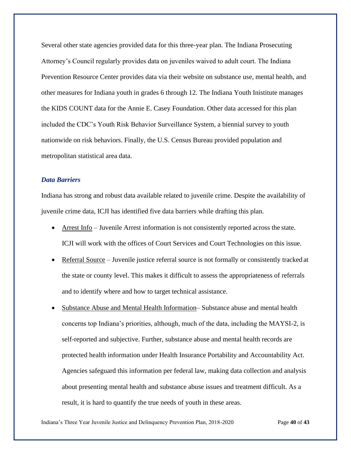Several other state agencies provided data for this three-year plan. The Indiana Prosecuting Attorney's Council regularly provides data on juveniles waived to adult court. The Indiana Prevention Resource Center provides data via their website on substance use, mental health, and other measures for Indiana youth in grades 6 through 12. The Indiana Youth Inistitute manages the KIDS COUNT data for the Annie E. Casey Foundation. Other data accessed for this plan included the CDC's Youth Risk Behavior Surveillance System, a biennial survey to youth nationwide on risk behaviors. Finally, the U.S. Census Bureau provided population and metropolitan statistical area data.

## *Data Barriers*

Indiana has strong and robust data available related to juvenile crime. Despite the availability of juvenile crime data, ICJI has identified five data barriers while drafting this plan.

- Arrest Info Juvenile Arrest information is not consistently reported across the state. ICJI will work with the offices of Court Services and Court Technologies on this issue.
- Referral Source Juvenile justice referral source is not formally or consistently tracked at the state or county level. This makes it difficult to assess the appropriateness of referrals and to identify where and how to target technical assistance.
- Substance Abuse and Mental Health Information– Substance abuse and mental health concerns top Indiana's priorities, although, much of the data, including the MAYSI-2, is self-reported and subjective. Further, substance abuse and mental health records are protected health information under Health Insurance Portability and Accountability Act. Agencies safeguard this information per federal law, making data collection and analysis about presenting mental health and substance abuse issues and treatment difficult. As a result, it is hard to quantify the true needs of youth in these areas.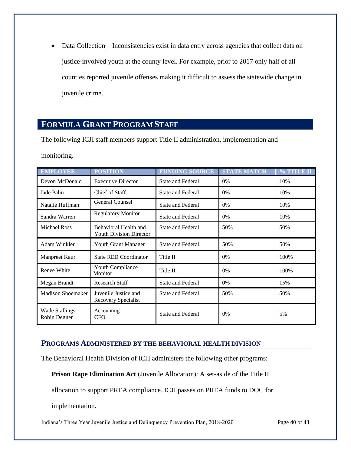• Data Collection – Inconsistencies exist in data entry across agencies that collect data on justice-involved youth at the county level. For example, prior to 2017 only half of all counties reported juvenile offenses making it difficult to assess the statewide change in juvenile crime.

# <span id="page-41-0"></span>**FORMULA GRANT PROGRAM STAFF**

The following ICJI staff members support Title II administration, implementation and

monitoring.

| <b>EMPLOYEE</b>                       | <b>POSITION</b>                                         | <b>FUNDING SOURCE</b>    | <b>STATE MATCH</b> | % TITLE II |
|---------------------------------------|---------------------------------------------------------|--------------------------|--------------------|------------|
| Devon McDonald                        | <b>Executive Director</b>                               | <b>State and Federal</b> | 0%                 | 10%        |
| Jade Palin                            | Chief of Staff                                          | State and Federal        | 0%                 | 10%        |
| Natalie Huffman                       | <b>General Counsel</b>                                  | <b>State and Federal</b> | $0\%$              | 10%        |
| Sandra Warren                         | <b>Regulatory Monitor</b>                               | State and Federal        | 0%                 | 10%        |
| <b>Michael Ross</b>                   | Behavioral Health and<br><b>Youth Division Director</b> | <b>State and Federal</b> | 50%                | 50%        |
| Adam Winkler                          | Youth Grant Manager                                     | <b>State and Federal</b> | 50%                | 50%        |
| Manpreet Kaur                         | <b>State RED Coordinator</b>                            | Title II                 | 0%                 | 100%       |
| Renee White                           | Youth Compliance<br>Monitor                             | Title II                 | 0%                 | 100%       |
| Megan Brandt                          | <b>Research Staff</b>                                   | <b>State and Federal</b> | 0%                 | 15%        |
| <b>Madison Shoemaker</b>              | Juvenile Justice and<br>Recovery Specialist             | <b>State and Federal</b> | 50%                | 50%        |
| <b>Wade Stallings</b><br>Robin Degner | Accounting<br><b>CFO</b>                                | State and Federal        | 0%                 | 5%         |

## **PROGRAMS ADMINISTERED BY THE BEHAVIORAL HEALTH DIVISION**

The Behavioral Health Division of ICJI administers the following other programs:

**Prison Rape Elimination Act** (Juvenile Allocation): A set-aside of the Title II

allocation to support PREA compliance. ICJI passes on PREA funds to DOC for

implementation.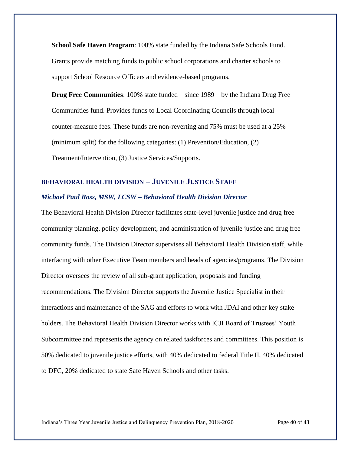**School Safe Haven Program**: 100% state funded by the Indiana Safe Schools Fund. Grants provide matching funds to public school corporations and charter schools to support School Resource Officers and evidence-based programs.

**Drug Free Communities**: 100% state funded—since 1989—by the Indiana Drug Free Communities fund. Provides funds to Local Coordinating Councils through local counter-measure fees. These funds are non-reverting and 75% must be used at a 25% (minimum split) for the following categories: (1) Prevention/Education, (2) Treatment/Intervention, (3) Justice Services/Supports.

## **BEHAVIORAL HEALTH DIVISION – JUVENILE JUSTICE STAFF**

## *Michael Paul Ross, MSW, LCSW – Behavioral Health Division Director*

The Behavioral Health Division Director facilitates state-level juvenile justice and drug free community planning, policy development, and administration of juvenile justice and drug free community funds. The Division Director supervises all Behavioral Health Division staff, while interfacing with other Executive Team members and heads of agencies/programs. The Division Director oversees the review of all sub-grant application, proposals and funding recommendations. The Division Director supports the Juvenile Justice Specialist in their interactions and maintenance of the SAG and efforts to work with JDAI and other key stake holders. The Behavioral Health Division Director works with ICJI Board of Trustees' Youth Subcommittee and represents the agency on related taskforces and committees. This position is 50% dedicated to juvenile justice efforts, with 40% dedicated to federal Title II, 40% dedicated to DFC, 20% dedicated to state Safe Haven Schools and other tasks.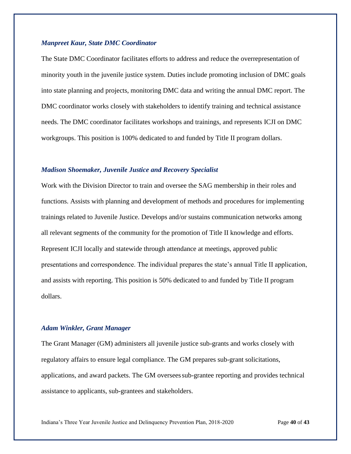#### *Manpreet Kaur, State DMC Coordinator*

The State DMC Coordinator facilitates efforts to address and reduce the overrepresentation of minority youth in the juvenile justice system. Duties include promoting inclusion of DMC goals into state planning and projects, monitoring DMC data and writing the annual DMC report. The DMC coordinator works closely with stakeholders to identify training and technical assistance needs. The DMC coordinator facilitates workshops and trainings, and represents ICJI on DMC workgroups. This position is 100% dedicated to and funded by Title II program dollars.

#### *Madison Shoemaker, Juvenile Justice and Recovery Specialist*

Work with the Division Director to train and oversee the SAG membership in their roles and functions. Assists with planning and development of methods and procedures for implementing trainings related to Juvenile Justice. Develops and/or sustains communication networks among all relevant segments of the community for the promotion of Title II knowledge and efforts. Represent ICJI locally and statewide through attendance at meetings, approved public presentations and correspondence. The individual prepares the state's annual Title II application, and assists with reporting. This position is 50% dedicated to and funded by Title II program dollars.

#### *Adam Winkler, Grant Manager*

The Grant Manager (GM) administers all juvenile justice sub-grants and works closely with regulatory affairs to ensure legal compliance. The GM prepares sub-grant solicitations, applications, and award packets. The GM overseessub-grantee reporting and provides technical assistance to applicants, sub-grantees and stakeholders.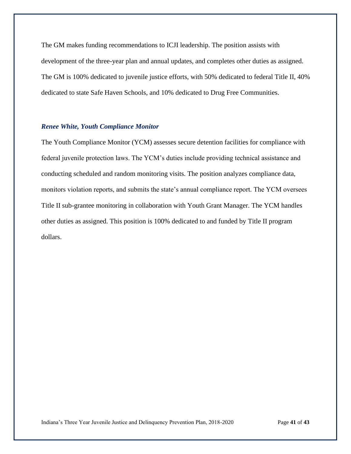The GM makes funding recommendations to ICJI leadership. The position assists with development of the three-year plan and annual updates, and completes other duties as assigned. The GM is 100% dedicated to juvenile justice efforts, with 50% dedicated to federal Title II, 40% dedicated to state Safe Haven Schools, and 10% dedicated to Drug Free Communities.

## *Renee White, Youth Compliance Monitor*

The Youth Compliance Monitor (YCM) assesses secure detention facilities for compliance with federal juvenile protection laws. The YCM's duties include providing technical assistance and conducting scheduled and random monitoring visits. The position analyzes compliance data, monitors violation reports, and submits the state's annual compliance report. The YCM oversees Title II sub-grantee monitoring in collaboration with Youth Grant Manager. The YCM handles other duties as assigned. This position is 100% dedicated to and funded by Title II program dollars.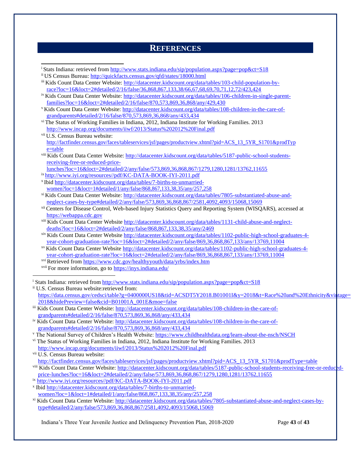## **REFERENCES**

| ii US Census Bureau: http://quickfacts.census.gov/qfd/states/18000.html                                                       |  |
|-------------------------------------------------------------------------------------------------------------------------------|--|
| iii Kids Count Data Center Website: http://datacenter.kidscount.org/data/tables/103-child-population-by-                      |  |
| race?loc=16&loct=2#detailed/2/16/false/36,868,867,133,38/66,67,68,69,70,71,12,72/423,424                                      |  |
| iv Kids Count Data Center Website: http://datacenter.kidscount.org/data/tables/106-children-in-single-parent-                 |  |
| families?loc=16&loct=2#detailed/2/16/false/870,573,869,36,868/any/429,430                                                     |  |
| <sup>v</sup> Kids Count Data Center Website: http://datacenter.kidscount.org/data/tables/108-children-in-the-care-of-         |  |
| grandparents#detailed/2/16/false/870,573,869,36,868/any/433,434                                                               |  |
| <sup>vi</sup> The Status of Working Families in Indiana, 2012, Indiana Institute for Working Families. 2013                   |  |
| http://www.incap.org/documents/iiwf/2013/Status%202012%20Final.pdf                                                            |  |
| vii U.S. Census Bureau website:                                                                                               |  |
| http://factfinder.census.gov/faces/tableservices/jsf/pages/productview.xhtml?pid=ACS_13_5YR_S1701&prodTyp                     |  |
| e=table                                                                                                                       |  |
| viii Kids Count Data Center Website: http://datacenter.kidscount.org/data/tables/5187-public-school-students-                 |  |
| receiving-free-or-reduced-price-                                                                                              |  |
| <u>lunches?loc=16&amp;loct=2#detailed/2/any/false/573,869,36,868,867/1279,1280,1281/13762,11655</u>                           |  |
| ix http://www.iyi.org/resources//pdf/KC-DATA-BOOK-IYI-2011.pdf                                                                |  |
| <sup>x</sup> Ibid http://datacenter.kidscount.org/data/tables/7-births-to-unmarried-                                          |  |
| women?loc=1&loct=1#detailed/1/any/false/868,867,133,38,35/any/257,258                                                         |  |
| <sup>xi</sup> Kids Count Data Center Website: http://datacenter.kidscount.org/data/tables/7805-substantiated-abuse-and-       |  |
| neglect-cases-by-type#detailed/2/any/false/573,869,36,868,867/2581,4092,4093/15068,15069                                      |  |
| <sup>xii</sup> Centers for Disease Control, Web-based Injury Statistics Query and Reporting System (WISQARS), accessed at     |  |
| https://webappa.cdc.gov                                                                                                       |  |
| xiii Kids Count Data Center Website http://datacenter.kidscount.org/data/tables/1131-child-abuse-and-neglect-                 |  |
| deaths?loc=16&loct=2#detailed/2/any/false/868,867,133,38,35/any/2469                                                          |  |
| xiv Kids Count Data Center Website http://datacenter.kidscount.org/data/tables/1102-public-high-school-graduates-4-           |  |
| year-cohort-graduation-rate?loc=16&loct=2#detailed/2/any/false/869,36,868,867,133/any/13769,11004                             |  |
| <sup>xv</sup> Kids Count Data Center Website http://datacenter.kidscount.org/data/tables/1102-public-high-school-graduates-4- |  |
| year-cohort-graduation-rate?loc=16&loct=2#detailed/2/any/false/869,36,868,867,133/any/13769,11004                             |  |
| xvi Retrieved from https://www.cdc.gov/healthyyouth/data/yrbs/index.htm                                                       |  |
| xvii For more information, go to https://inys.indiana.edu/                                                                    |  |

[https://data.census.gov/cedsci/table?g=0400000US18&tid=ACSDT5Y2018.B01001I&y=2018&t=Race%20and%20Ethnicity&vintage=](https://data.census.gov/cedsci/table?g=0400000US18&tid=ACSDT5Y2018.B01001I&y=2018&t=Race%20and%20Ethnicity&vintage=2018&hidePreview=false&cid=B01001A_001E&moe=false) [2018&hidePreview=false&cid=B01001A\\_001E&moe=false](https://data.census.gov/cedsci/table?g=0400000US18&tid=ACSDT5Y2018.B01001I&y=2018&t=Race%20and%20Ethnicity&vintage=2018&hidePreview=false&cid=B01001A_001E&moe=false)

iii Kids Count Data Center Website: [http://datacenter.kidscount.org/data/tables/108-children-in-the-care-of](http://datacenter.kidscount.org/data/tables/108-children-in-the-care-of-grandparents#detailed/2/16/false/870,573,869,36,868/any/433,434)[grandparents#detailed/2/16/false/870,573,869,36,868/any/433,434](http://datacenter.kidscount.org/data/tables/108-children-in-the-care-of-grandparents#detailed/2/16/false/870,573,869,36,868/any/433,434)

iv Kids Count Data Center Website: [http://datacenter.kidscount.org/data/tables/108-children-in-the-care-of](http://datacenter.kidscount.org/data/tables/108-children-in-the-care-of-grandparents#detailed/2/16/false/870,573,869,36,868/any/433,434)[grandparents#detailed/2/16/false/870,573,869,36,868/any/433,434](http://datacenter.kidscount.org/data/tables/108-children-in-the-care-of-grandparents#detailed/2/16/false/870,573,869,36,868/any/433,434)

<sup>v</sup> The National Survey of Children's Health Website:<https://www.childhealthdata.org/learn-about-the-nsch/NSCH>

vi The Status of Working Families in Indiana, 2012, Indiana Institute for Working Families. 2013 <http://www.incap.org/documents/iiwf/2013/Status%202012%20Final.pdf>

vii U.S. Census Bureau website:

[http://factfinder.census.gov/faces/tableservices/jsf/pages/productview.xhtml?pid=ACS\\_13\\_5YR\\_S1701&prodType=table](http://factfinder.census.gov/faces/tableservices/jsf/pages/productview.xhtml?pid=ACS_13_5YR_S1701&prodType=table)

- viii Kids Count Data Center Website: [http://datacenter.kidscount.org/data/tables/5187-public-school-students-receiving-free-or-reduced](http://datacenter.kidscount.org/data/tables/5187-public-school-students-receiving-free-or-reduced-price-lunches?loc=16&loct=2#detailed/2/any/false/573,869,36,868,867/1279,1280,1281/13762,11655)[price-lunches?loc=16&loct=2#detailed/2/any/false/573,869,36,868,867/1279,1280,1281/13762,11655](http://datacenter.kidscount.org/data/tables/5187-public-school-students-receiving-free-or-reduced-price-lunches?loc=16&loct=2#detailed/2/any/false/573,869,36,868,867/1279,1280,1281/13762,11655)
- ix [http://www.iyi.org/resources//pdf/KC-DATA-BOOK-IYI-2011.pdf](http://www.iyi.org/resources/pdf/KC-DATA-BOOK-IYI-2011.pdf)

x Ibid [http://datacenter.kidscount.org/data/tables/7-births-to-unmarried](http://datacenter.kidscount.org/data/tables/7-births-to-unmarried-women?loc=1&loct=1#detailed/1/any/false/868,867,133,38,35/any/257,258)[women?loc=1&loct=1#detailed/1/any/false/868,867,133,38,35/any/257,258](http://datacenter.kidscount.org/data/tables/7-births-to-unmarried-women?loc=1&loct=1#detailed/1/any/false/868,867,133,38,35/any/257,258)

xi Kids Count Data Center Website: [http://datacenter.kidscount.org/data/tables/7805-substantiated-abuse-and-neglect-cases-by](http://datacenter.kidscount.org/data/tables/7805-substantiated-abuse-and-neglect-cases-by-type#detailed/2/any/false/573,869,36,868,867/2581,4092,4093/15068,15069)[type#detailed/2/any/false/573,869,36,868,867/2581,4092,4093/15068,15069](http://datacenter.kidscount.org/data/tables/7805-substantiated-abuse-and-neglect-cases-by-type#detailed/2/any/false/573,869,36,868,867/2581,4092,4093/15068,15069)